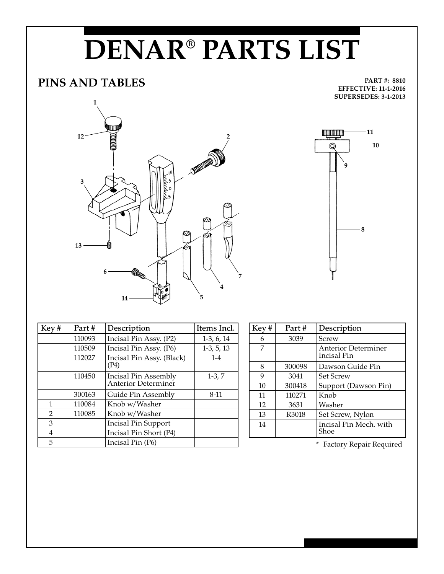## **DENAR® PARTS LIST**

## **PINS AND TABLES**

**PART #: 8810 EFFECTIVE: 11-1-2016 SUPERSEDES: 3-1-2013**



| Key#           | Part#  | Description                                 | Items Incl.  |
|----------------|--------|---------------------------------------------|--------------|
|                | 110093 | Incisal Pin Assy. (P2)                      | $1-3, 6, 14$ |
|                | 110509 | Incisal Pin Assy. (P6)                      | $1-3, 5, 13$ |
|                | 112027 | Incisal Pin Assy. (Black)<br>(P4)           | $1 - 4$      |
|                | 110450 | Incisal Pin Assembly<br>Anterior Determiner | $1-3, 7$     |
|                | 300163 | Guide Pin Assembly                          | 8-11         |
| 1              | 110084 | Knob w/Washer                               |              |
| $\overline{2}$ | 110085 | Knob w/Washer                               |              |
| 3              |        | <b>Incisal Pin Support</b>                  |              |
| 4              |        | Incisal Pin Short (P4)                      |              |
| 5              |        | Incisal Pin (P6)                            |              |

| Key# | Part#  | Description                               |
|------|--------|-------------------------------------------|
| 6    | 3039   | Screw                                     |
| 7    |        | <b>Anterior Determiner</b><br>Incisal Pin |
| 8    | 300098 | Dawson Guide Pin                          |
| 9    | 3041   | <b>Set Screw</b>                          |
| 10   | 300418 | Support (Dawson Pin)                      |
| 11   | 110271 | Knob                                      |
| 12   | 3631   | Washer                                    |
| 13   | R3018  | Set Screw, Nylon                          |
| 14   |        | Incisal Pin Mech, with<br>Shoe            |

\* Factory Repair Required